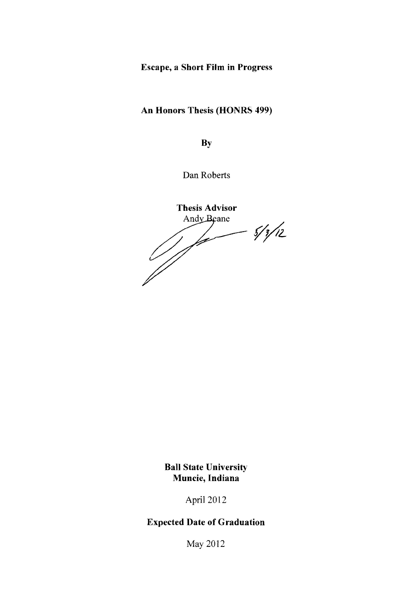# Escape, a Short Film in Progress

# An Honors Thesis (HONRS 499)

**By** 

Dan Roberts

**Thesis Advisor** Andy Beane  $-5/3/12$ 'm V<br>|}

**Ball State University** Muncie, Indiana

April 2012

# Expected Date of Graduation

May 2012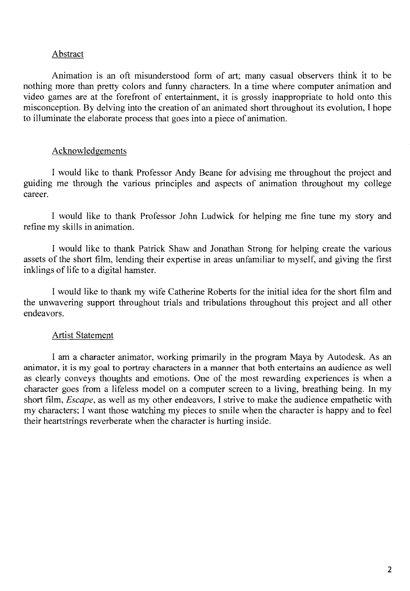#### Abstract

Animation is an oft misunderstood form of art; many casual observers think it to be nothing more than pretty colors and funny characters. In a time where computer animation and video games are at the forefront of entertainment, it is grossly inappropriate to hold onto this misconception. By delving into the creation of an animated short throughout its evolution, I hope to illuminate the elaborate process that goes into a piece of animation.

### Acknowledgements

I would like to thank Professor Andy Beane for advising me throughout the project and guiding me through the various principles and aspects of animation throughout my college career.

I would like to thank Professor John Ludwick for helping me fine tune my story and refine my skills in animation.

I would like to thank Patrick Shaw and Jonathan Strong for helping create the various assets of the short film, lending their expertise in areas unfamiliar to myself, and giving the first inklings of life to a digital hamster.

I would like to thank my wife Catherine Roberts for the initial idea for the short film and the unwavering support throughout trials and tribulations throughout this project and all other endeavors.

### Artist Statement

I am a character animator, working primarily in the program Maya by Autodesk. As an animator, it is my goal to portray characters in a manner that both entertains an audience as well as clearly conveys thoughts and emotions. One of the most rewarding experiences is when a character goes from a lifeless model on a computer screen to a living, breathing being. In my short film, *Escape,* as well as my other endeavors, I strive to make the audience empathetic with my characters; I want those watching my pieces to smile when the character is happy and to feel their heartstrings reverberate when the character is hurting inside.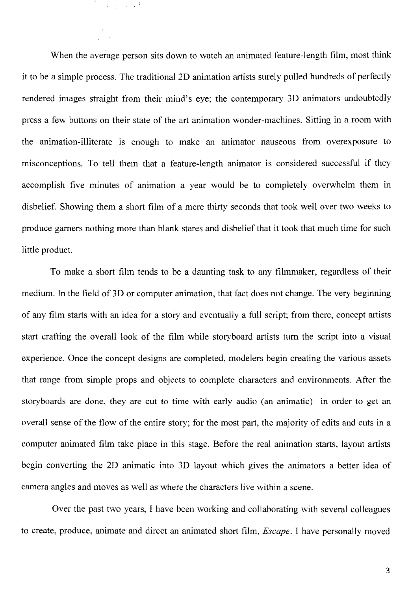When the average person sits down to watch an animated feature-length film, most think it to be a simple process. The traditional 2D animation artists surely pulled hundreds of perfectly rendered images straight from their mind's eye; the contemporary 3D animators undoubtedly press a few buttons on their state of the art animation wonder-machines. Sitting in a room with the animation-illiterate is enough to make an animator nauseous from overexposure to misconceptions. To tell them that a feature-length animator is considered successful if they accomplish five minutes of animation a year would be to completely overwhelm them in disbelief. Showing them a short film of a mere thirty seconds that took well over two weeks to produce garners nothing more than blank stares and disbelief that it took that much time for such little product.

 $3.9 \pm 0.0004$ 

To make a short film tends to be a daunting task to any filmmaker, regardless of their medium. In the field of 3D or computer animation, that fact does not change. The very beginning of any film starts with an idea for a story and eventually a full script; from there, concept artists start crafting the overall look of the film while storyboard artists tum the script into a visual experience. Once the concept designs are completed, modelers begin creating the various assets that range from simple props and objects to complete characters and environments. After the storyboards are done, they are cut to time with early audio (an animatic) in order to get an overall sense of the flow of the entire story; for the most part, the majority of edits and cuts in a computer animated film take place in this stage. Before the real animation starts, layout artists begin converting the 2D animatic into 3D layout which gives the animators a better idea of camera angles and moves as well as where the characters live within a scene.

Over the past two years, I have been working and collaborating with several colleagues to create, produce, animate and direct an animated short film, *Escape.* I have personally moved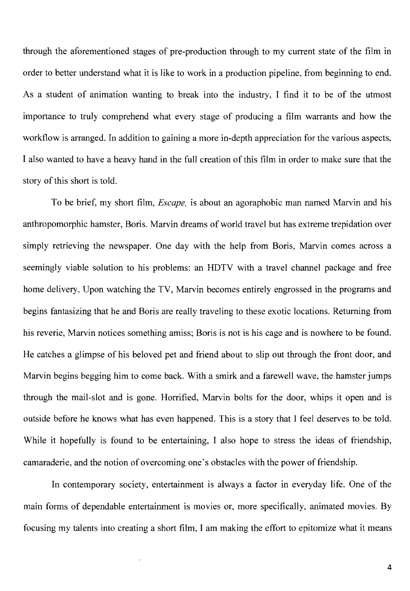through the aforementioned stages of pre-production through to my current state of the film in order to better understand what it is like to work in a production pipeline, from beginning to end. As a student of animation wanting to break into the industry, I find it to be of the utmost importance to truly comprehend what every stage of producing a film warrants and how the workflow is arranged. In addition to gaining a more in-depth appreciation for the various aspects, I also wanted to have a heavy hand in the full creation of this film in order to make sure that the story of this short is told.

To be brief, my short film, *Escape,* is about an agoraphobic man named Marvin and his anthropomorphic hamster, Boris. Marvin dreams of world travel but has extreme trepidation over simply retrieving the newspaper. One day with the help from Boris, Marvin comes across a seemingly viable solution to his problems: an HDTV with a travel channel package and free home delivery. Upon watching the TV, Marvin becomes entirely engrossed in the programs and begins fantasizing that he and Boris are really traveling to these exotic locations. Returning from his reverie, Marvin notices something amiss; Boris is not is his cage and is nowhere to be found. He catches a glimpse of his beloved pet and friend about to slip out through the front door, and Marvin begins begging him to come back. With a smirk and a farewell wave, the hamster jumps through the mail-slot and is gone. Horrified, Marvin bolts for the door, whips it open and is outside before he knows what has even happened. This is a story that I feel deserves to be told. While it hopefully is found to be entertaining, I also hope to stress the ideas of friendship, camaraderie, and the notion of overcoming one's obstacles with the power of friendship.

In contemporary society, entertainment is always a factor in everyday life. One of the main forms of dependable entertainment is movies or, more specifically, animated movies. By focusing my talents into creating a short film, I am making the effort to epitomize what it means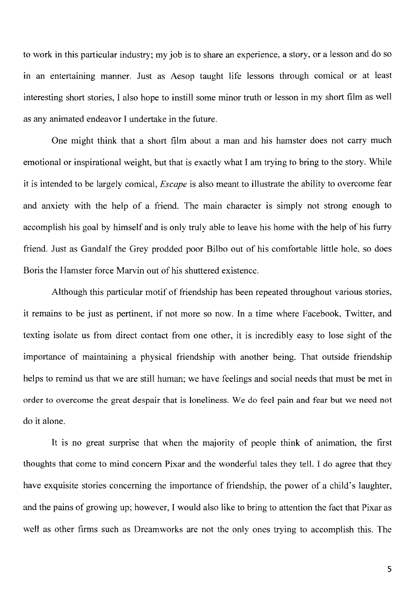to work in this particular industry; my job is to share an experience, a story, or a lesson and do so in an entertaining manner. Just as Aesop taught life lessons through comical or at least interesting short stories, I also hope to instill some minor truth or lesson in my short film as well as any animated endeavor I undertake in the future.

One might think that a short film about a man and his hamster does not carry much emotional or inspirational weight, but that is exactly what I am trying to bring to the story. While it is intended to be largely comical, *Escape* is also meant to illustrate the ability to overcome fear and anxiety with the help of a friend. The main character is simply not strong enough to accomplish his goal by himself and is only truly able to leave his home with the help of his furry friend. Just as Gandalf the Grey prodded poor Bilbo out of his comfortable little hole, so does Boris the Hamster force Marvin out of his shuttered existence.

Although this particular motif of friendship has been repeated throughout various stories, it remains to be just as pertinent, if not more so now. In a time where Facebook, Twitter, and texting isolate us from direct contact from one other, it is incredibly easy to lose sight of the importance of maintaining a physical friendship with another being. That outside friendship helps to remind us that we are still human; we have feelings and social needs that must be met in order to overcome the great despair that is loneliness. We do feel pain and fear but we need not do it alone.

It is no great surprise that when the majority of people think of animation, the first thoughts that come to mind concern Pixar and the wonderful tales they tell. I do agree that they have exquisite stories concerning the importance of friendship, the power of a child's laughter, and the pains of growing up; however, I would also like to bring to attention the fact that Pixar as well as other firms such as Dreamworks are not the only ones trying to accomplish this. The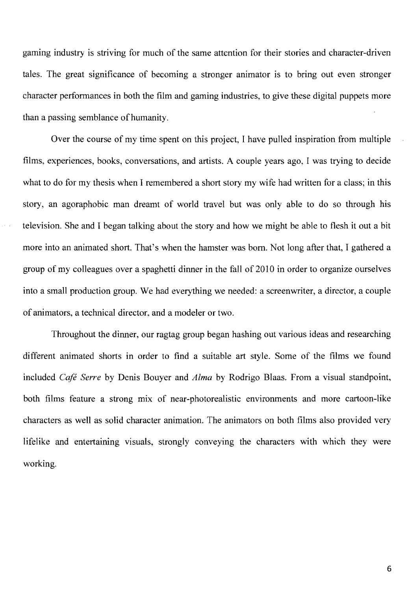gaming industry is striving for much of the same attention for their stories and character-driven tales. The great significance of becoming a stronger animator is to bring out even stronger character performances in both the film and gaming industries, to give these digital puppets more than a passing semblance of humanity.

Over the course of my time spent on this project, I have pulled inspiration from multiple films, experiences, books, conversations, and artists. A couple years ago, I was trying to decide what to do for my thesis when I remembered a short story my wife had written for a class; in this story, an agoraphobic man dreamt of world travel but was only able to do so through his television. She and I began talking about the story and how we might be able to flesh it out a bit more into an animated short. That's when the hamster was born. Not long after that, I gathered a group of my colleagues over a spaghetti dinner in the fall of 2010 in order to organize ourselves into a small production group. We had everything we needed: a screenwriter, a director, a couple of animators, a technical director, and a modeler or two.

Throughout the dinner, our ragtag group began hashing out various ideas and researching different animated shorts in order to find a suitable art style. Some of the films we found included *Cafe Serre* by Denis Bouyer and *Alma* by Rodrigo Blaas. From a visual standpoint, both films feature a strong mix of near-photorealistic environments and more cartoon-like characters as well as solid character animation. The animators on both films also provided very lifelike and entertaining visuals, strongly conveying the characters with which they were working.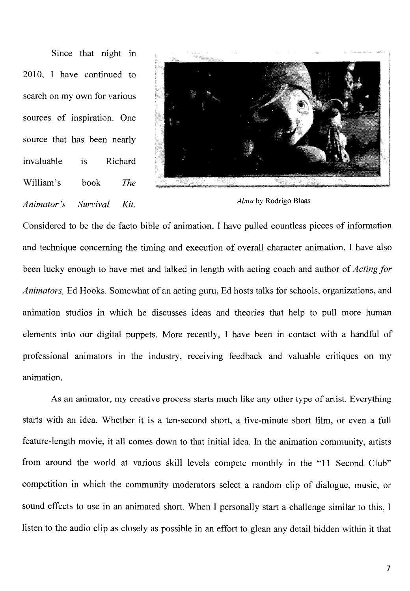Since that night in 2010, I have continued to search on my own for various sources of inspiration. One source that has been nearly invaluable William's is Richard book *The Animator's Survival Kit. Alma* by Rodrigo Blaas



Considered to be the de facto bible of animation, I have pulled countless pieces of information and technique concerning the timing and execution of overall character animation. I have also been lucky enough to have met and talked in length with acting coach and author of *Acting for Animators,* Ed Hooks. Somewhat of an acting guru, Ed hosts talks for schools, organizations, and animation studios in which he discusses ideas and theories that help to pull more human elements into our digital puppets. More recently, I have been in contact with a handful of professional animators in the industry, receiving feedback and valuable critiques on my animation.

As an animator, my creative process starts much like any other type of artist. Everything starts with an idea. Whether it is a ten-second short, a five-minute short film, or even a full feature-length movie, it all comes down to that initial idea. **In** the animation community, artists from around the world at various skill levels compete monthly in the "11 Second Club" competition in which the community moderators select a random clip of dialogue, music, or sound effects to use in an animated short. When I personally start a challenge similar to this, I listen to the audio clip as closely as possible in an effort to glean any detail hidden within it that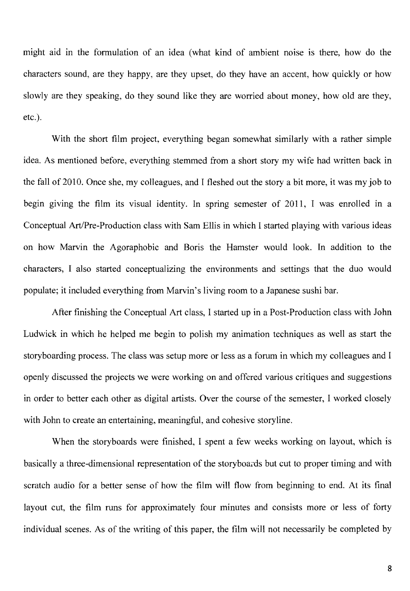might aid in the formulation of an idea (what kind of ambient noise is there, how do the characters sound, are they happy, are they upset, do they have an accent, how quickly or how slowly are they speaking, do they sound like they are worried about money, how old are they, etc.).

With the short film project, everything began somewhat similarly with a rather simple idea. As mentioned before, everything stemmed from a short story my wife had written back in the fall of 2010. Once she, my colleagues, and I fleshed out the story a bit more, it was my job to begin giving the film its visual identity. In spring semester of 2011, I was enrolled in a Conceptual Art/Pre-Production class with Sam Ellis in which I started playing with various ideas on how Marvin the Agoraphobic and Boris the Hamster would look. In addition to the characters, I also started conceptualizing the environments and settings that the duo would populate; it included everything from Marvin's living room to a Japanese sushi bar.

After finishing the Conceptual Art class, I started up in a Post-Production class with John Ludwick in which he helped me begin to polish my animation techniques as well as start the storyboarding process. The class was setup more or less as a forum in which my colleagues and I openly discussed the projects we were working on and offered various critiques and suggestions in order to better each other as digital artists. Over the course of the semester, I worked closely with John to create an entertaining, meaningful, and cohesive storyline.

When the storyboards were finished, I spent a few weeks working on layout, which is basically a three-dimensional representation of the storyboards but cut to proper timing and with scratch audio for a better sense of how the film will flow from beginning to end. At its final layout cut, the film runs for approximately four minutes and consists more or less of forty individual scenes. As of the writing of this paper, the film will not necessarily be completed by